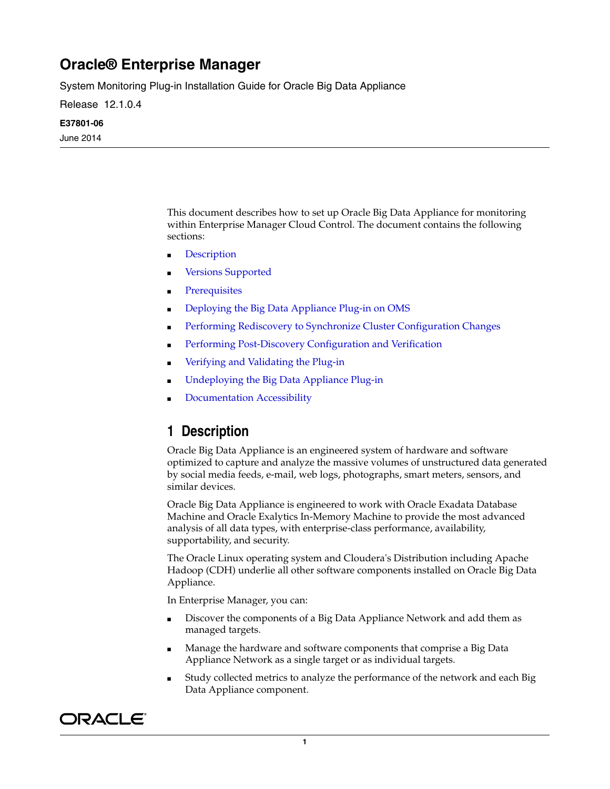# **Oracle® Enterprise Manager**

System Monitoring Plug-in Installation Guide for Oracle Big Data Appliance

Release 12.1.0.4

#### **E37801-06**

June 2014

This document describes how to set up Oracle Big Data Appliance for monitoring within Enterprise Manager Cloud Control. The document contains the following sections:

- **[Description](#page-0-0)**
- **[Versions Supported](#page-1-0)**
- **[Prerequisites](#page-1-1)**
- [Deploying the Big Data Appliance Plug-in on OMS](#page-2-0)
- [Performing Rediscovery to Synchronize Cluster Configuration Changes](#page-3-0)
- [Performing Post-Discovery Configuration and Verification](#page-6-0)
- [Verifying and Validating the Plug-in](#page-12-0)
- [Undeploying the Big Data Appliance Plug-in](#page-12-1)
- [Documentation Accessibility](#page-12-2)

## <span id="page-0-0"></span>**1 Description**

Oracle Big Data Appliance is an engineered system of hardware and software optimized to capture and analyze the massive volumes of unstructured data generated by social media feeds, e-mail, web logs, photographs, smart meters, sensors, and similar devices.

Oracle Big Data Appliance is engineered to work with Oracle Exadata Database Machine and Oracle Exalytics In-Memory Machine to provide the most advanced analysis of all data types, with enterprise-class performance, availability, supportability, and security.

The Oracle Linux operating system and Cloudera's Distribution including Apache Hadoop (CDH) underlie all other software components installed on Oracle Big Data Appliance.

In Enterprise Manager, you can:

- Discover the components of a Big Data Appliance Network and add them as managed targets.
- Manage the hardware and software components that comprise a Big Data Appliance Network as a single target or as individual targets.
- Study collected metrics to analyze the performance of the network and each Big Data Appliance component.

# ORACLE®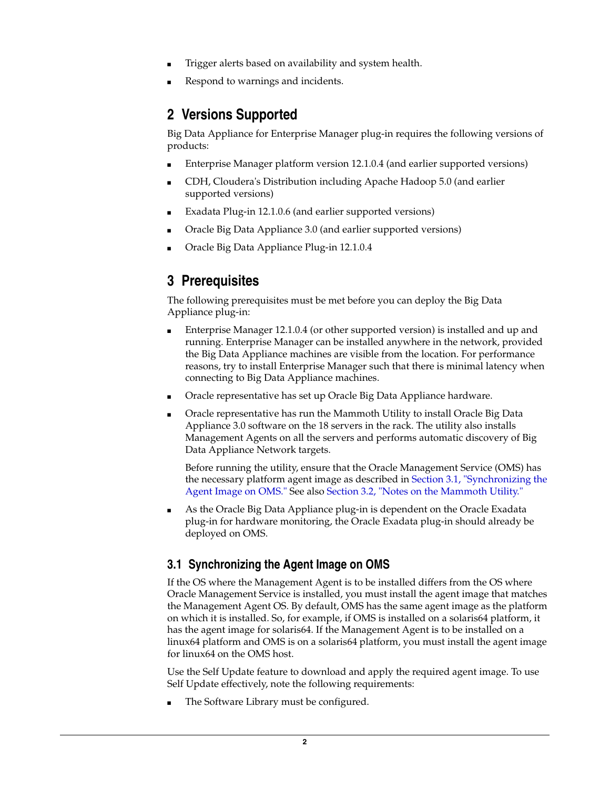- Trigger alerts based on availability and system health.
- Respond to warnings and incidents.

## <span id="page-1-0"></span>**2 Versions Supported**

Big Data Appliance for Enterprise Manager plug-in requires the following versions of products:

- Enterprise Manager platform version 12.1.0.4 (and earlier supported versions)
- CDH, Cloudera's Distribution including Apache Hadoop 5.0 (and earlier supported versions)
- Exadata Plug-in 12.1.0.6 (and earlier supported versions)
- Oracle Big Data Appliance 3.0 (and earlier supported versions)
- Oracle Big Data Appliance Plug-in 12.1.0.4

# <span id="page-1-1"></span>**3 Prerequisites**

The following prerequisites must be met before you can deploy the Big Data Appliance plug-in:

- Enterprise Manager 12.1.0.4 (or other supported version) is installed and up and running. Enterprise Manager can be installed anywhere in the network, provided the Big Data Appliance machines are visible from the location. For performance reasons, try to install Enterprise Manager such that there is minimal latency when connecting to Big Data Appliance machines.
- Oracle representative has set up Oracle Big Data Appliance hardware.
- Oracle representative has run the Mammoth Utility to install Oracle Big Data Appliance 3.0 software on the 18 servers in the rack. The utility also installs Management Agents on all the servers and performs automatic discovery of Big Data Appliance Network targets.

Before running the utility, ensure that the Oracle Management Service (OMS) has the necessary platform agent image as described in Section [3.1, "Synchronizing the](#page-1-2)  [Agent Image on OMS."](#page-1-2) See also Section [3.2, "Notes on the Mammoth Utility."](#page-2-1)

As the Oracle Big Data Appliance plug-in is dependent on the Oracle Exadata plug-in for hardware monitoring, the Oracle Exadata plug-in should already be deployed on OMS.

## <span id="page-1-2"></span>**3.1 Synchronizing the Agent Image on OMS**

If the OS where the Management Agent is to be installed differs from the OS where Oracle Management Service is installed, you must install the agent image that matches the Management Agent OS. By default, OMS has the same agent image as the platform on which it is installed. So, for example, if OMS is installed on a solaris64 platform, it has the agent image for solaris64. If the Management Agent is to be installed on a linux64 platform and OMS is on a solaris64 platform, you must install the agent image for linux64 on the OMS host.

Use the Self Update feature to download and apply the required agent image. To use Self Update effectively, note the following requirements:

The Software Library must be configured.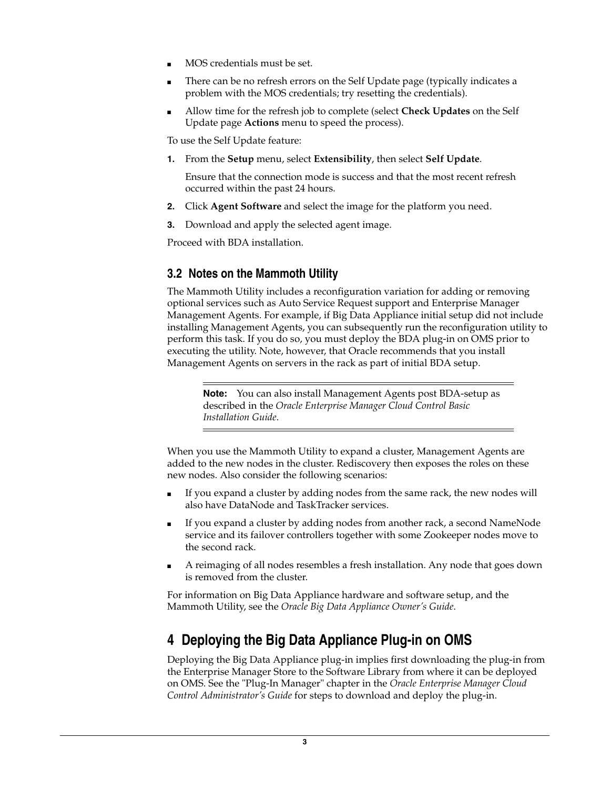- MOS credentials must be set.
- There can be no refresh errors on the Self Update page (typically indicates a problem with the MOS credentials; try resetting the credentials).
- Allow time for the refresh job to complete (select **Check Updates** on the Self Update page **Actions** menu to speed the process).

To use the Self Update feature:

**1.** From the **Setup** menu, select **Extensibility**, then select **Self Update**.

Ensure that the connection mode is success and that the most recent refresh occurred within the past 24 hours.

- **2.** Click **Agent Software** and select the image for the platform you need.
- **3.** Download and apply the selected agent image.

Proceed with BDA installation.

### <span id="page-2-1"></span>**3.2 Notes on the Mammoth Utility**

The Mammoth Utility includes a reconfiguration variation for adding or removing optional services such as Auto Service Request support and Enterprise Manager Management Agents. For example, if Big Data Appliance initial setup did not include installing Management Agents, you can subsequently run the reconfiguration utility to perform this task. If you do so, you must deploy the BDA plug-in on OMS prior to executing the utility. Note, however, that Oracle recommends that you install Management Agents on servers in the rack as part of initial BDA setup.

**Note:** You can also install Management Agents post BDA-setup as described in the *Oracle Enterprise Manager Cloud Control Basic Installation Guide*.

When you use the Mammoth Utility to expand a cluster, Management Agents are added to the new nodes in the cluster. Rediscovery then exposes the roles on these new nodes. Also consider the following scenarios:

- If you expand a cluster by adding nodes from the same rack, the new nodes will also have DataNode and TaskTracker services.
- If you expand a cluster by adding nodes from another rack, a second NameNode service and its failover controllers together with some Zookeeper nodes move to the second rack.
- A reimaging of all nodes resembles a fresh installation. Any node that goes down is removed from the cluster.

For information on Big Data Appliance hardware and software setup, and the Mammoth Utility, see the *Oracle Big Data Appliance Owner's Guide*.

# <span id="page-2-0"></span>**4 Deploying the Big Data Appliance Plug-in on OMS**

Deploying the Big Data Appliance plug-in implies first downloading the plug-in from the Enterprise Manager Store to the Software Library from where it can be deployed on OMS. See the "Plug-In Manager" chapter in the *Oracle Enterprise Manager Cloud Control Administrator's Guide* for steps to download and deploy the plug-in.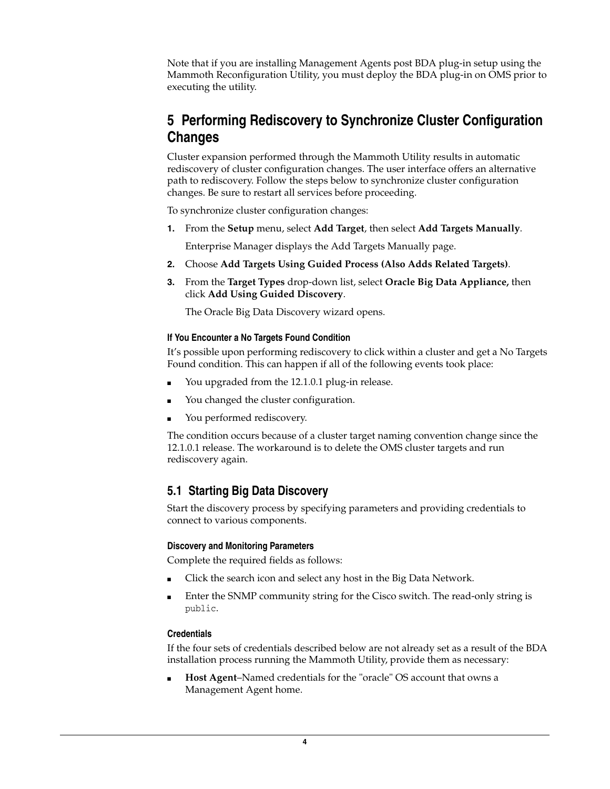Note that if you are installing Management Agents post BDA plug-in setup using the Mammoth Reconfiguration Utility, you must deploy the BDA plug-in on OMS prior to executing the utility.

# <span id="page-3-0"></span>**5 Performing Rediscovery to Synchronize Cluster Configuration Changes**

Cluster expansion performed through the Mammoth Utility results in automatic rediscovery of cluster configuration changes. The user interface offers an alternative path to rediscovery. Follow the steps below to synchronize cluster configuration changes. Be sure to restart all services before proceeding.

To synchronize cluster configuration changes:

- **1.** From the **Setup** menu, select **Add Target**, then select **Add Targets Manually**. Enterprise Manager displays the Add Targets Manually page.
- **2.** Choose **Add Targets Using Guided Process (Also Adds Related Targets)**.
- **3.** From the **Target Types** drop-down list, select **Oracle Big Data Appliance,** then click **Add Using Guided Discovery**.

The Oracle Big Data Discovery wizard opens.

#### **If You Encounter a No Targets Found Condition**

It's possible upon performing rediscovery to click within a cluster and get a No Targets Found condition. This can happen if all of the following events took place:

- You upgraded from the 12.1.0.1 plug-in release.
- You changed the cluster configuration.
- You performed rediscovery.

The condition occurs because of a cluster target naming convention change since the 12.1.0.1 release. The workaround is to delete the OMS cluster targets and run rediscovery again.

### **5.1 Starting Big Data Discovery**

Start the discovery process by specifying parameters and providing credentials to connect to various components.

#### **Discovery and Monitoring Parameters**

Complete the required fields as follows:

- Click the search icon and select any host in the Big Data Network.
- Enter the SNMP community string for the Cisco switch. The read-only string is public.

#### **Credentials**

If the four sets of credentials described below are not already set as a result of the BDA installation process running the Mammoth Utility, provide them as necessary:

**Host Agent–Named credentials for the "oracle" OS account that owns a** Management Agent home.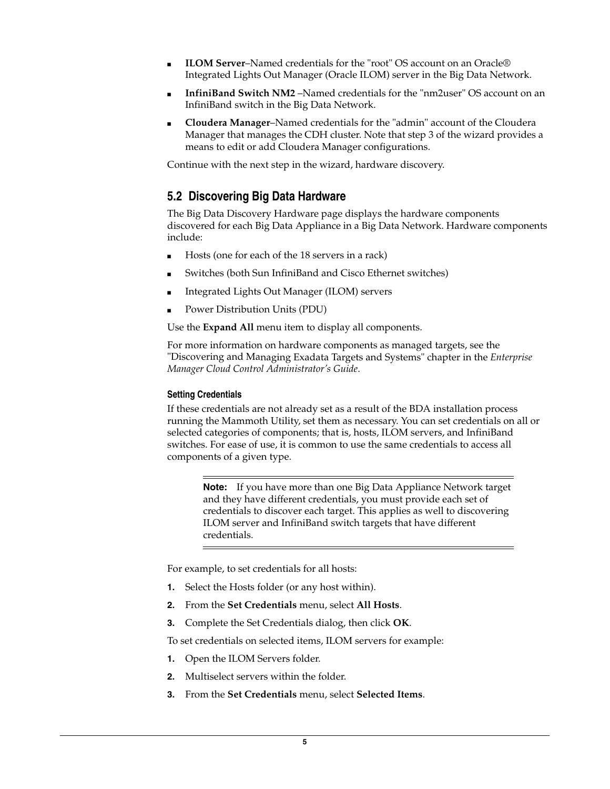- **ILOM Server**–Named credentials for the "root" OS account on an Oracle® Integrated Lights Out Manager (Oracle ILOM) server in the Big Data Network.
- InfiniBand Switch NM2 -Named credentials for the "nm2user" OS account on an InfiniBand switch in the Big Data Network.
- **Cloudera Manager**–Named credentials for the "admin" account of the Cloudera Manager that manages the CDH cluster. Note that step 3 of the wizard provides a means to edit or add Cloudera Manager configurations.

Continue with the next step in the wizard, hardware discovery.

### **5.2 Discovering Big Data Hardware**

The Big Data Discovery Hardware page displays the hardware components discovered for each Big Data Appliance in a Big Data Network. Hardware components include:

- Hosts (one for each of the 18 servers in a rack)
- Switches (both Sun InfiniBand and Cisco Ethernet switches)
- Integrated Lights Out Manager (ILOM) servers
- Power Distribution Units (PDU)

Use the **Expand All** menu item to display all components.

For more information on hardware components as managed targets, see the "Discovering and Managing Exadata Targets and Systems" chapter in the *Enterprise Manager Cloud Control Administrator's Guide*.

#### **Setting Credentials**

If these credentials are not already set as a result of the BDA installation process running the Mammoth Utility, set them as necessary. You can set credentials on all or selected categories of components; that is, hosts, ILOM servers, and InfiniBand switches. For ease of use, it is common to use the same credentials to access all components of a given type.

**Note:** If you have more than one Big Data Appliance Network target and they have different credentials, you must provide each set of credentials to discover each target. This applies as well to discovering ILOM server and InfiniBand switch targets that have different credentials.

For example, to set credentials for all hosts:

- **1.** Select the Hosts folder (or any host within).
- **2.** From the **Set Credentials** menu, select **All Hosts**.
- **3.** Complete the Set Credentials dialog, then click **OK**.

To set credentials on selected items, ILOM servers for example:

- **1.** Open the ILOM Servers folder.
- **2.** Multiselect servers within the folder.
- **3.** From the **Set Credentials** menu, select **Selected Items**.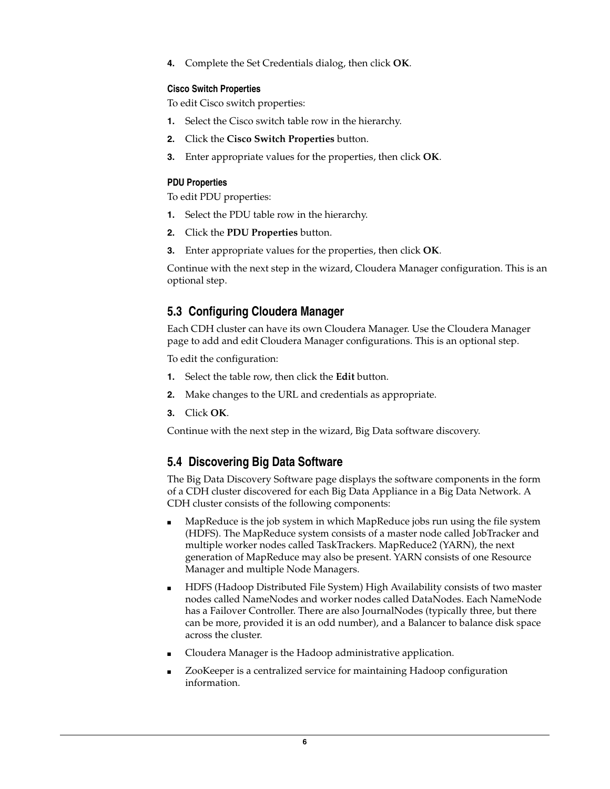**4.** Complete the Set Credentials dialog, then click **OK**.

### **Cisco Switch Properties**

To edit Cisco switch properties:

- **1.** Select the Cisco switch table row in the hierarchy.
- **2.** Click the **Cisco Switch Properties** button.
- **3.** Enter appropriate values for the properties, then click **OK**.

### **PDU Properties**

To edit PDU properties:

- **1.** Select the PDU table row in the hierarchy.
- **2.** Click the **PDU Properties** button.
- **3.** Enter appropriate values for the properties, then click **OK**.

Continue with the next step in the wizard, Cloudera Manager configuration. This is an optional step.

## **5.3 Configuring Cloudera Manager**

Each CDH cluster can have its own Cloudera Manager. Use the Cloudera Manager page to add and edit Cloudera Manager configurations. This is an optional step.

To edit the configuration:

- **1.** Select the table row, then click the **Edit** button.
- **2.** Make changes to the URL and credentials as appropriate.
- **3.** Click **OK**.

Continue with the next step in the wizard, Big Data software discovery.

### **5.4 Discovering Big Data Software**

The Big Data Discovery Software page displays the software components in the form of a CDH cluster discovered for each Big Data Appliance in a Big Data Network. A CDH cluster consists of the following components:

- MapReduce is the job system in which MapReduce jobs run using the file system (HDFS). The MapReduce system consists of a master node called JobTracker and multiple worker nodes called TaskTrackers. MapReduce2 (YARN), the next generation of MapReduce may also be present. YARN consists of one Resource Manager and multiple Node Managers.
- HDFS (Hadoop Distributed File System) High Availability consists of two master nodes called NameNodes and worker nodes called DataNodes. Each NameNode has a Failover Controller. There are also JournalNodes (typically three, but there can be more, provided it is an odd number), and a Balancer to balance disk space across the cluster.
- Cloudera Manager is the Hadoop administrative application.
- ZooKeeper is a centralized service for maintaining Hadoop configuration information.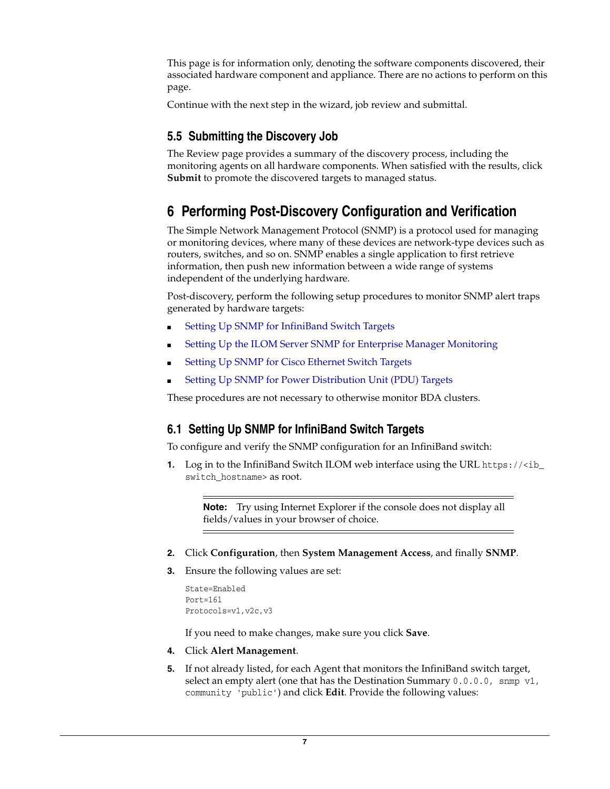This page is for information only, denoting the software components discovered, their associated hardware component and appliance. There are no actions to perform on this page.

Continue with the next step in the wizard, job review and submittal.

## **5.5 Submitting the Discovery Job**

The Review page provides a summary of the discovery process, including the monitoring agents on all hardware components. When satisfied with the results, click **Submit** to promote the discovered targets to managed status.

# <span id="page-6-0"></span>**6 Performing Post-Discovery Configuration and Verification**

The Simple Network Management Protocol (SNMP) is a protocol used for managing or monitoring devices, where many of these devices are network-type devices such as routers, switches, and so on. SNMP enables a single application to first retrieve information, then push new information between a wide range of systems independent of the underlying hardware.

Post-discovery, perform the following setup procedures to monitor SNMP alert traps generated by hardware targets:

- [Setting Up SNMP for InfiniBand Switch Targets](#page-6-1)
- [Setting Up the ILOM Server SNMP for Enterprise Manager Monitoring](#page-7-0)
- [Setting Up SNMP for Cisco Ethernet Switch Targets](#page-10-0)
- [Setting Up SNMP for Power Distribution Unit \(PDU\) Targets](#page-11-0)

These procedures are not necessary to otherwise monitor BDA clusters.

## <span id="page-6-1"></span>**6.1 Setting Up SNMP for InfiniBand Switch Targets**

To configure and verify the SNMP configuration for an InfiniBand switch:

**1.** Log in to the InfiniBand Switch ILOM web interface using the URL https://<ib\_ switch\_hostname> as root.

**Note:** Try using Internet Explorer if the console does not display all fields/values in your browser of choice.

- **2.** Click **Configuration**, then **System Management Access**, and finally **SNMP**.
- **3.** Ensure the following values are set:

```
State=Enabled
Port=161
Protocols=v1,v2c,v3
```
If you need to make changes, make sure you click **Save**.

- **4.** Click **Alert Management**.
- **5.** If not already listed, for each Agent that monitors the InfiniBand switch target, select an empty alert (one that has the Destination Summary  $0.0.0.0$ , snmp  $v1$ , community 'public') and click **Edit**. Provide the following values: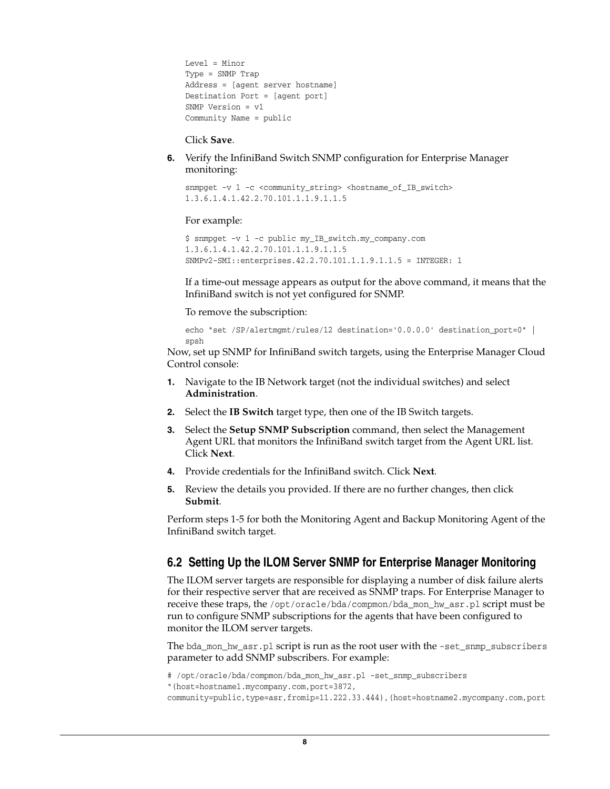```
Level = Minor
Type = SNMP Trap
Address = [agent server hostname]
Destination Port = [agent port]
SNMP Version = v1
Community Name = public
```
Click **Save**.

**6.** Verify the InfiniBand Switch SNMP configuration for Enterprise Manager monitoring:

snmpget -v 1 -c <community\_string> <hostname\_of\_IB\_switch> 1.3.6.1.4.1.42.2.70.101.1.1.9.1.1.5

#### For example:

```
$ snmpget -v 1 -c public my_IB_switch.my_company.com 
1.3.6.1.4.1.42.2.70.101.1.1.9.1.1.5
SNMPv2-SMI::enterprises.42.2.70.101.1.1.9.1.1.5 = INTEGER: 1
```
If a time-out message appears as output for the above command, it means that the InfiniBand switch is not yet configured for SNMP.

To remove the subscription:

```
echo "set /SP/alertmgmt/rules/12 destination='0.0.0.0' destination_port=0" | 
spsh
```
Now, set up SNMP for InfiniBand switch targets, using the Enterprise Manager Cloud Control console:

- **1.** Navigate to the IB Network target (not the individual switches) and select **Administration**.
- **2.** Select the **IB Switch** target type, then one of the IB Switch targets.
- **3.** Select the **Setup SNMP Subscription** command, then select the Management Agent URL that monitors the InfiniBand switch target from the Agent URL list. Click **Next**.
- **4.** Provide credentials for the InfiniBand switch. Click **Next**.
- **5.** Review the details you provided. If there are no further changes, then click **Submit**.

Perform steps 1-5 for both the Monitoring Agent and Backup Monitoring Agent of the InfiniBand switch target.

### <span id="page-7-0"></span>**6.2 Setting Up the ILOM Server SNMP for Enterprise Manager Monitoring**

The ILOM server targets are responsible for displaying a number of disk failure alerts for their respective server that are received as SNMP traps. For Enterprise Manager to receive these traps, the /opt/oracle/bda/compmon/bda\_mon\_hw\_asr.pl script must be run to configure SNMP subscriptions for the agents that have been configured to monitor the ILOM server targets.

The bda\_mon\_hw\_asr.pl script is run as the root user with the -set\_snmp\_subscribers parameter to add SNMP subscribers. For example:

```
# /opt/oracle/bda/compmon/bda_mon_hw_asr.pl -set_snmp_subscribers
```

```
"(host=hostname1.mycompany.com,port=3872,
```

```
community=public,type=asr,fromip=11.222.33.444),(host=hostname2.mycompany.com,port
```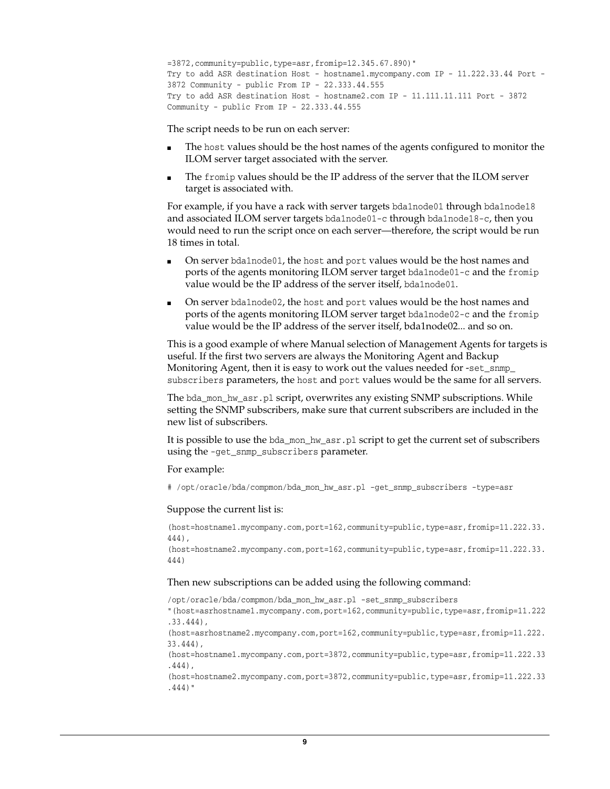```
=3872,community=public,type=asr,fromip=12.345.67.890)"
Try to add ASR destination Host - hostname1.mycompany.com IP - 11.222.33.44 Port - 
3872 Community - public From IP - 22.333.44.555
Try to add ASR destination Host - hostname2.com IP - 11.111.11.111 Port - 3872 
Community - public From IP - 22.333.44.555
```
The script needs to be run on each server:

- The host values should be the host names of the agents configured to monitor the ILOM server target associated with the server.
- The fromip values should be the IP address of the server that the ILOM server target is associated with.

For example, if you have a rack with server targets bda1node01 through bda1node18 and associated ILOM server targets bda1node01-c through bda1node18-c, then you would need to run the script once on each server—therefore, the script would be run 18 times in total.

- On server bda1node01, the host and port values would be the host names and ports of the agents monitoring ILOM server target bda1node01-c and the fromip value would be the IP address of the server itself, bda1node01.
- On server bda1node02, the host and port values would be the host names and ports of the agents monitoring ILOM server target bda1node02-c and the fromip value would be the IP address of the server itself, bda1node02... and so on.

This is a good example of where Manual selection of Management Agents for targets is useful. If the first two servers are always the Monitoring Agent and Backup Monitoring Agent, then it is easy to work out the values needed for -set\_snmp subscribers parameters, the host and port values would be the same for all servers.

The bda\_mon\_hw\_asr.pl script, overwrites any existing SNMP subscriptions. While setting the SNMP subscribers, make sure that current subscribers are included in the new list of subscribers.

It is possible to use the bda\_mon\_hw\_asr.pl script to get the current set of subscribers using the -get\_snmp\_subscribers parameter.

For example:

# /opt/oracle/bda/compmon/bda\_mon\_hw\_asr.pl -get\_snmp\_subscribers -type=asr

#### Suppose the current list is:

(host=hostname1.mycompany.com,port=162,community=public,type=asr,fromip=11.222.33. 444),

(host=hostname2.mycompany.com,port=162,community=public,type=asr,fromip=11.222.33. 444)

#### Then new subscriptions can be added using the following command:

/opt/oracle/bda/compmon/bda\_mon\_hw\_asr.pl -set\_snmp\_subscribers

"(host=asrhostname1.mycompany.com,port=162,community=public,type=asr,fromip=11.222 .33.444),

(host=asrhostname2.mycompany.com,port=162,community=public,type=asr,fromip=11.222. 33.444),

(host=hostname1.mycompany.com,port=3872,community=public,type=asr,fromip=11.222.33 .444),

(host=hostname2.mycompany.com,port=3872,community=public,type=asr,fromip=11.222.33 .444)"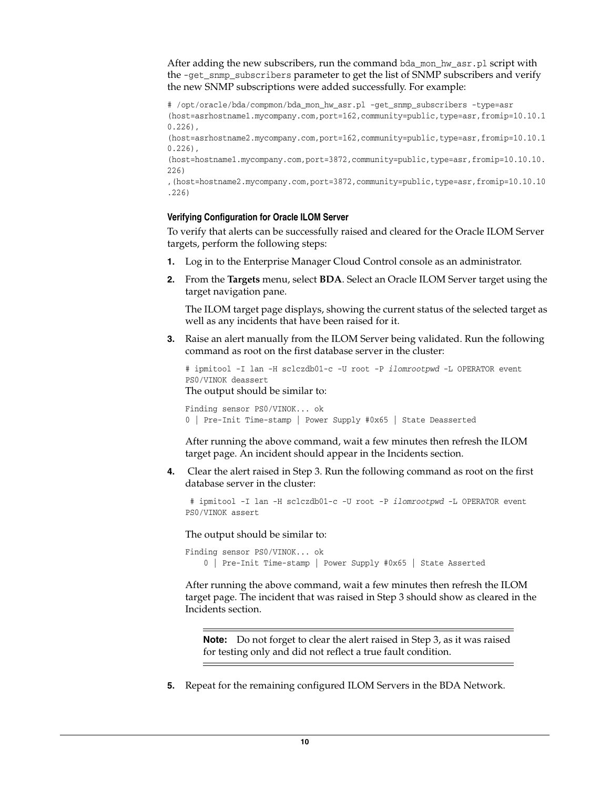After adding the new subscribers, run the command bda\_mon\_hw\_asr.pl script with the -get\_snmp\_subscribers parameter to get the list of SNMP subscribers and verify the new SNMP subscriptions were added successfully. For example:

# /opt/oracle/bda/compmon/bda\_mon\_hw\_asr.pl -get\_snmp\_subscribers -type=asr (host=asrhostname1.mycompany.com,port=162,community=public,type=asr,fromip=10.10.1 0.226),

(host=asrhostname2.mycompany.com,port=162,community=public,type=asr,fromip=10.10.1 0.226),

(host=hostname1.mycompany.com,port=3872,community=public,type=asr,fromip=10.10.10. 226)

,(host=hostname2.mycompany.com,port=3872,community=public,type=asr,fromip=10.10.10 .226)

#### **Verifying Configuration for Oracle ILOM Server**

To verify that alerts can be successfully raised and cleared for the Oracle ILOM Server targets, perform the following steps:

- **1.** Log in to the Enterprise Manager Cloud Control console as an administrator.
- **2.** From the **Targets** menu, select **BDA**. Select an Oracle ILOM Server target using the target navigation pane.

The ILOM target page displays, showing the current status of the selected target as well as any incidents that have been raised for it.

**3.** Raise an alert manually from the ILOM Server being validated. Run the following command as root on the first database server in the cluster:

# ipmitool -I lan -H sclczdb01-c -U root -P *ilomrootpwd* -L OPERATOR event PS0/VINOK deassert The output should be similar to:

```
Finding sensor PS0/VINOK... ok
0 | Pre-Init Time-stamp | Power Supply #0x65 | State Deasserted
```
After running the above command, wait a few minutes then refresh the ILOM target page. An incident should appear in the Incidents section.

**4.** Clear the alert raised in Step 3. Run the following command as root on the first database server in the cluster:

 # ipmitool -I lan -H sclczdb01-c -U root -P *ilomrootpwd* -L OPERATOR event PS0/VINOK assert

The output should be similar to:

```
Finding sensor PS0/VINOK... ok
     0 | Pre-Init Time-stamp | Power Supply #0x65 | State Asserted
```
After running the above command, wait a few minutes then refresh the ILOM target page. The incident that was raised in Step 3 should show as cleared in the Incidents section.

**Note:** Do not forget to clear the alert raised in Step 3, as it was raised for testing only and did not reflect a true fault condition.

**5.** Repeat for the remaining configured ILOM Servers in the BDA Network.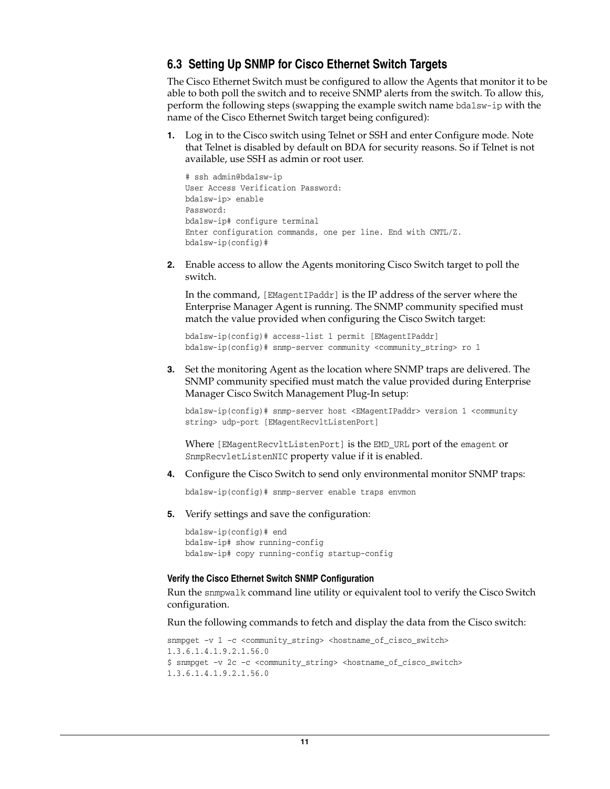### <span id="page-10-0"></span>**6.3 Setting Up SNMP for Cisco Ethernet Switch Targets**

The Cisco Ethernet Switch must be configured to allow the Agents that monitor it to be able to both poll the switch and to receive SNMP alerts from the switch. To allow this, perform the following steps (swapping the example switch name bda1sw-ip with the name of the Cisco Ethernet Switch target being configured):

**1.** Log in to the Cisco switch using Telnet or SSH and enter Configure mode. Note that Telnet is disabled by default on BDA for security reasons. So if Telnet is not available, use SSH as admin or root user.

```
# ssh admin@bda1sw-ip 
User Access Verification Password: 
bda1sw-ip> enable
Password:
bda1sw-ip# configure terminal
Enter configuration commands, one per line. End with CNTL/Z.
bda1sw-ip(config)#
```
**2.** Enable access to allow the Agents monitoring Cisco Switch target to poll the switch.

In the command, [EMagentIPaddr] is the IP address of the server where the Enterprise Manager Agent is running. The SNMP community specified must match the value provided when configuring the Cisco Switch target:

bda1sw-ip(config)# access-list 1 permit [EMagentIPaddr] bda1sw-ip(config)# snmp-server community <community\_string> ro 1

**3.** Set the monitoring Agent as the location where SNMP traps are delivered. The SNMP community specified must match the value provided during Enterprise Manager Cisco Switch Management Plug-In setup:

bda1sw-ip(config)# snmp-server host <EMagentIPaddr> version 1 <community string> udp-port [EMagentRecvltListenPort]

Where [EMagentRecvltListenPort] is the EMD\_URL port of the emagent or SnmpRecvletListenNIC property value if it is enabled.

**4.** Configure the Cisco Switch to send only environmental monitor SNMP traps:

bda1sw-ip(config)# snmp-server enable traps envmon

**5.** Verify settings and save the configuration:

bda1sw-ip(config)# end bda1sw-ip# show running-config bda1sw-ip# copy running-config startup-config

#### **Verify the Cisco Ethernet Switch SNMP Configuration**

Run the snmpwalk command line utility or equivalent tool to verify the Cisco Switch configuration.

Run the following commands to fetch and display the data from the Cisco switch:

```
snmpget -v 1 -c <community_string> <hostname_of_cisco_switch>
1.3.6.1.4.1.9.2.1.56.0
$ snmpget –v 2c –c <community_string> <hostname_of_cisco_switch> 
1.3.6.1.4.1.9.2.1.56.0
```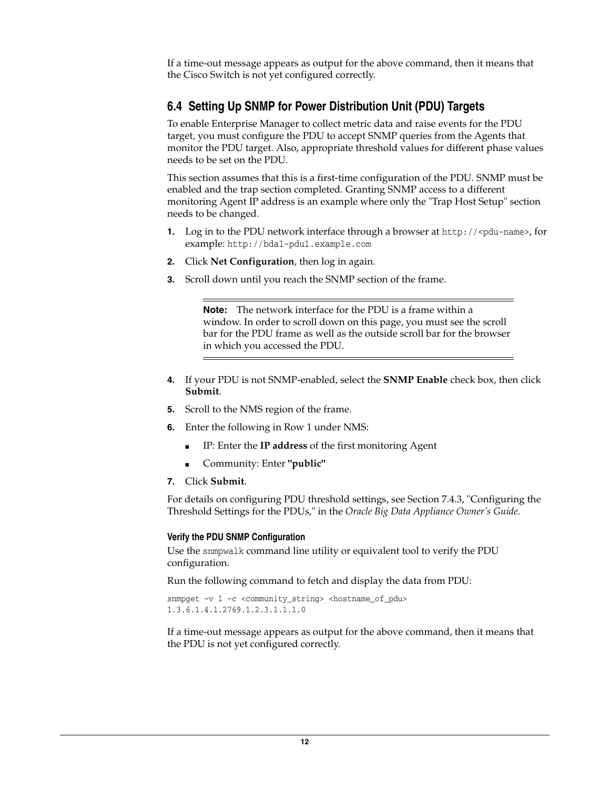If a time-out message appears as output for the above command, then it means that the Cisco Switch is not yet configured correctly.

### <span id="page-11-0"></span>**6.4 Setting Up SNMP for Power Distribution Unit (PDU) Targets**

To enable Enterprise Manager to collect metric data and raise events for the PDU target, you must configure the PDU to accept SNMP queries from the Agents that monitor the PDU target. Also, appropriate threshold values for different phase values needs to be set on the PDU.

This section assumes that this is a first-time configuration of the PDU. SNMP must be enabled and the trap section completed. Granting SNMP access to a different monitoring Agent IP address is an example where only the "Trap Host Setup" section needs to be changed.

- **1.** Log in to the PDU network interface through a browser at http://<pdu-name>, for example: http://bda1-pdu1.example.com
- **2.** Click **Net Configuration**, then log in again.
- **3.** Scroll down until you reach the SNMP section of the frame.

**Note:** The network interface for the PDU is a frame within a window. In order to scroll down on this page, you must see the scroll bar for the PDU frame as well as the outside scroll bar for the browser in which you accessed the PDU.

- **4.** If your PDU is not SNMP-enabled, select the **SNMP Enable** check box, then click **Submit**.
- **5.** Scroll to the NMS region of the frame.
- **6.** Enter the following in Row 1 under NMS:
	- IP: Enter the **IP address** of the first monitoring Agent
	- Community: Enter **"public"**
- **7.** Click **Submit**.

For details on configuring PDU threshold settings, see Section 7.4.3, "Configuring the Threshold Settings for the PDUs," in the *Oracle Big Data Appliance Owner's Guide*.

#### **Verify the PDU SNMP Configuration**

Use the snmpwalk command line utility or equivalent tool to verify the PDU configuration.

Run the following command to fetch and display the data from PDU:

```
snmpget -v 1 -c <community_string> <hostname_of_pdu>
1.3.6.1.4.1.2769.1.2.3.1.1.1.0
```
If a time-out message appears as output for the above command, then it means that the PDU is not yet configured correctly.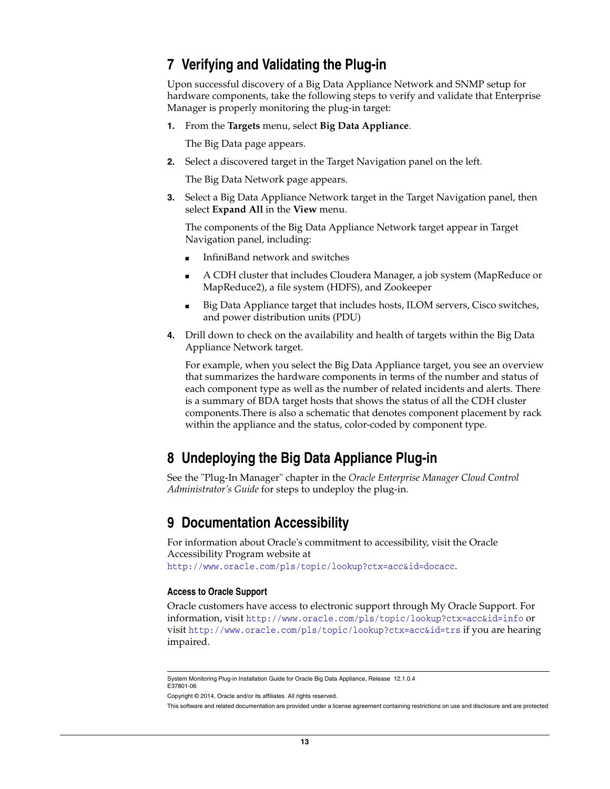## <span id="page-12-0"></span>**7 Verifying and Validating the Plug-in**

Upon successful discovery of a Big Data Appliance Network and SNMP setup for hardware components, take the following steps to verify and validate that Enterprise Manager is properly monitoring the plug-in target:

**1.** From the **Targets** menu, select **Big Data Appliance**.

The Big Data page appears.

**2.** Select a discovered target in the Target Navigation panel on the left.

The Big Data Network page appears.

**3.** Select a Big Data Appliance Network target in the Target Navigation panel, then select **Expand All** in the **View** menu.

The components of the Big Data Appliance Network target appear in Target Navigation panel, including:

- InfiniBand network and switches
- A CDH cluster that includes Cloudera Manager, a job system (MapReduce or MapReduce2), a file system (HDFS), and Zookeeper
- Big Data Appliance target that includes hosts, ILOM servers, Cisco switches, and power distribution units (PDU)
- **4.** Drill down to check on the availability and health of targets within the Big Data Appliance Network target.

For example, when you select the Big Data Appliance target, you see an overview that summarizes the hardware components in terms of the number and status of each component type as well as the number of related incidents and alerts. There is a summary of BDA target hosts that shows the status of all the CDH cluster components.There is also a schematic that denotes component placement by rack within the appliance and the status, color-coded by component type.

## <span id="page-12-1"></span>**8 Undeploying the Big Data Appliance Plug-in**

See the "Plug-In Manager" chapter in the *Oracle Enterprise Manager Cloud Control Administrator's Guide* for steps to undeploy the plug-in.

## <span id="page-12-2"></span>**9 Documentation Accessibility**

For information about Oracle's commitment to accessibility, visit the Oracle Accessibility Program website at http://www.oracle.com/pls/topic/lookup?ctx=acc&id=docacc.

#### **Access to Oracle Support**

Oracle customers have access to electronic support through My Oracle Support. For information, visit http://www.oracle.com/pls/topic/lookup?ctx=acc&id=info or visit http://www.oracle.com/pls/topic/lookup?ctx=acc&id=trs if you are hearing impaired.

System Monitoring Plug-in Installation Guide for Oracle Big Data Appliance, Release 12.1.0.4 E37801-06

Copyright © 2014, Oracle and/or its affiliates. All rights reserved.

This software and related documentation are provided under a license agreement containing restrictions on use and disclosure and are protected